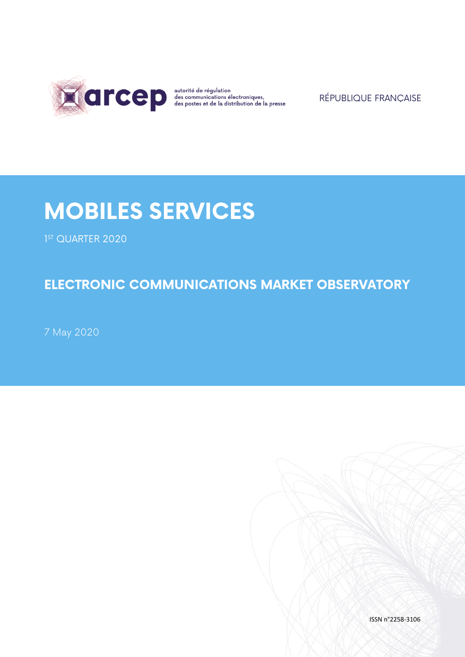

RÉPUBLIQUE FRANÇAISE

# **MOBILES SERVICES**

1 ST QUARTER 2020

## **ELECTRONIC COMMUNICATIONS MARKET OBSERVATORY**

7 May 2020

ISSN n°2258-3106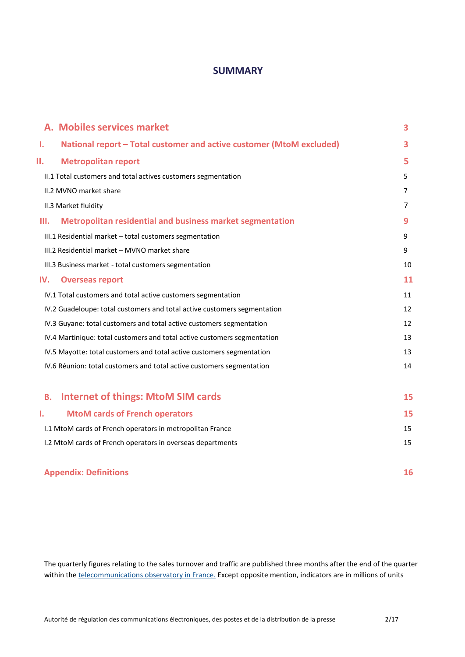### **SUMMARY**

|           | A. Mobiles services market                                               | 3              |
|-----------|--------------------------------------------------------------------------|----------------|
| Ι.        | National report - Total customer and active customer (MtoM excluded)     | 3              |
| ΙΙ.       | <b>Metropolitan report</b>                                               | 5              |
|           | II.1 Total customers and total actives customers segmentation            | 5              |
|           | II.2 MVNO market share                                                   | $\overline{7}$ |
|           | II.3 Market fluidity                                                     | 7              |
| Ш.        | <b>Metropolitan residential and business market segmentation</b>         | 9              |
|           | III.1 Residential market - total customers segmentation                  | 9              |
|           | III.2 Residential market - MVNO market share                             | 9              |
|           | III.3 Business market - total customers segmentation                     | 10             |
| IV.       | <b>Overseas report</b>                                                   | 11             |
|           | IV.1 Total customers and total active customers segmentation             | 11             |
|           | IV.2 Guadeloupe: total customers and total active customers segmentation | 12             |
|           | IV.3 Guyane: total customers and total active customers segmentation     | 12             |
|           | IV.4 Martinique: total customers and total active customers segmentation | 13             |
|           | IV.5 Mayotte: total customers and total active customers segmentation    | 13             |
|           | IV.6 Réunion: total customers and total active customers segmentation    | 14             |
|           |                                                                          |                |
| <b>B.</b> | <b>Internet of things: MtoM SIM cards</b>                                | 15             |
| т.        | <b>MtoM cards of French operators</b>                                    | 15             |
|           | I.1 MtoM cards of French operators in metropolitan France                | 15             |
|           | I.2 MtoM cards of French operators in overseas departments               | 15             |
|           |                                                                          |                |
|           |                                                                          |                |

## **Appendix: Definitions 16**

The quarterly figures relating to the sales turnover and traffic are published three months after the end of the quarter within th[e telecommunications observatory in France.](https://www.arcep.fr/cartes-et-donnees/nos-publications-chiffrees/observatoire-services-mobiles/) Except opposite mention, indicators are in millions of units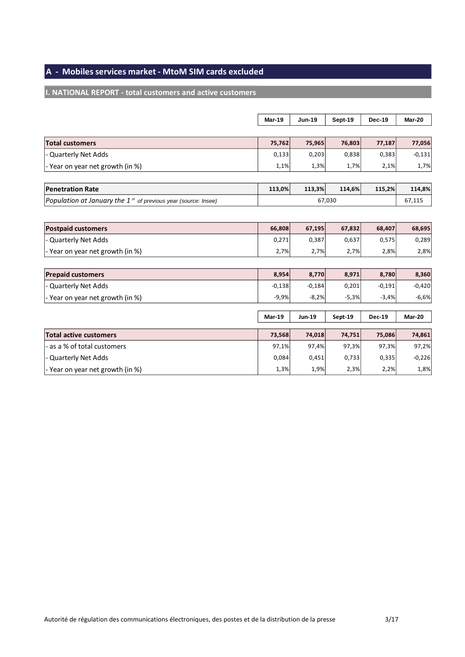## **A - Mobiles services market - MtoM SIM cards excluded**

## **I. NATIONAL REPORT - total customers and active customers**

|                                                                     | Mar-19        | <b>Jun-19</b> | Sept-19 | Dec-19        | <b>Mar-20</b> |
|---------------------------------------------------------------------|---------------|---------------|---------|---------------|---------------|
|                                                                     |               |               |         |               |               |
| <b>Total customers</b>                                              | 75,762        | 75,965        | 76,803  | 77,187        | 77,056        |
| <b>Quarterly Net Adds</b>                                           | 0,133         | 0,203         | 0,838   | 0,383         | $-0,131$      |
| - Year on year net growth (in %)                                    | 1,1%          | 1,3%          | 1,7%    | 2,1%          | 1,7%          |
|                                                                     |               |               |         |               |               |
| <b>Penetration Rate</b>                                             | 113,0%        | 113,3%        | 114,6%  | 115,2%        | 114,8%        |
| Population at January the $1^{st}$ of previous year (source: Insee) |               |               | 67,030  |               | 67,115        |
|                                                                     |               |               |         |               |               |
| <b>Postpaid customers</b>                                           | 66,808        | 67,195        | 67,832  | 68,407        | 68,695        |
| <b>Quarterly Net Adds</b>                                           | 0,271         | 0,387         | 0,637   | 0,575         | 0,289         |
| - Year on year net growth (in %)                                    | 2,7%          | 2,7%          | 2,7%    | 2,8%          | 2,8%          |
|                                                                     |               |               |         |               |               |
| <b>Prepaid customers</b>                                            | 8,954         | 8,770         | 8,971   | 8,780         | 8,360         |
| <b>Quarterly Net Adds</b>                                           | $-0,138$      | $-0,184$      | 0,201   | $-0,191$      | $-0,420$      |
| - Year on year net growth (in %)                                    | $-9,9%$       | $-8,2%$       | $-5,3%$ | $-3,4%$       | $-6,6%$       |
|                                                                     |               |               |         |               |               |
|                                                                     | <b>Mar-19</b> | Jun-19        | Sept-19 | <b>Dec-19</b> | <b>Mar-20</b> |
| <b>Total active customers</b>                                       | 73,568        | 74,018        | 74,751  | 75,086        | 74,861        |
| as a % of total customers                                           | 97,1%         | 97,4%         | 97,3%   | 97,3%         | 97,2%         |
| <b>Quarterly Net Adds</b>                                           | 0,084         | 0,451         | 0,733   | 0,335         | $-0,226$      |
| - Year on year net growth (in %)                                    | 1,3%          | 1,9%          | 2,3%    | 2,2%          | 1,8%          |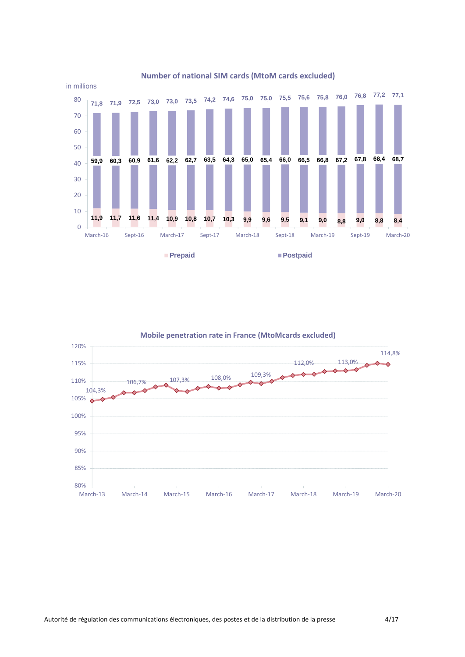

#### **Number of national SIM cards (MtoM cards excluded)**

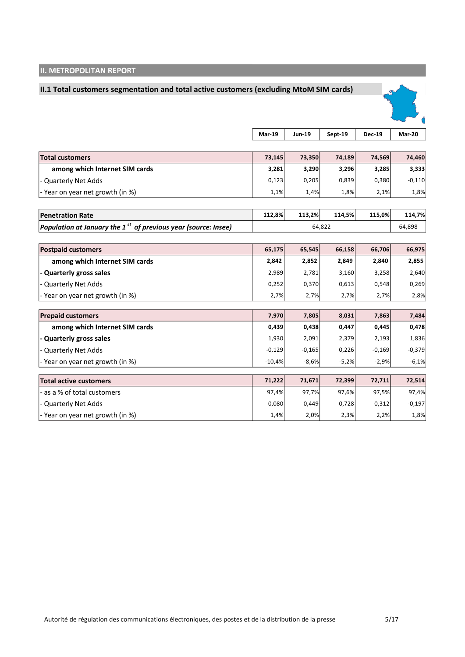## **II. METROPOLITAN REPORT**

### **II.1 Total customers segmentation and total active customers (excluding MtoM SIM cards)**



|                                                                  | <b>Mar-19</b> | <b>Jun-19</b> | Sept-19 | <b>Dec-19</b> | Mar-20   |
|------------------------------------------------------------------|---------------|---------------|---------|---------------|----------|
|                                                                  |               |               |         |               |          |
| <b>Total customers</b>                                           | 73,145        | 73,350        | 74,189  | 74,569        | 74,460   |
| among which Internet SIM cards                                   | 3,281         | 3,290         | 3,296   | 3,285         | 3,333    |
| - Quarterly Net Adds                                             | 0,123         | 0,205         | 0,839   | 0,380         | $-0,110$ |
| - Year on year net growth (in %)                                 | 1,1%          | 1,4%          | 1,8%    | 2,1%          | 1,8%     |
|                                                                  |               |               |         |               |          |
| <b>Penetration Rate</b>                                          | 112,8%        | 113,2%        | 114,5%  | 115,0%        | 114,7%   |
| Population at January the $1st$ of previous year (source: Insee) |               |               | 64,822  |               | 64,898   |
|                                                                  |               |               |         |               |          |
| <b>Postpaid customers</b>                                        | 65,175        | 65,545        | 66,158  | 66,706        | 66,975   |
| among which Internet SIM cards                                   | 2,842         | 2,852         | 2,849   | 2,840         | 2,855    |
| - Quarterly gross sales                                          | 2,989         | 2,781         | 3,160   | 3,258         | 2,640    |
| - Quarterly Net Adds                                             | 0,252         | 0,370         | 0,613   | 0,548         | 0,269    |
| - Year on year net growth (in %)                                 | 2,7%          | 2,7%          | 2,7%    | 2,7%          | 2,8%     |
| <b>Prepaid customers</b>                                         | 7,970         | 7,805         | 8,031   | 7,863         | 7,484    |
|                                                                  |               |               |         |               |          |
| among which Internet SIM cards                                   | 0,439         | 0,438         | 0,447   | 0,445         | 0,478    |
| - Quarterly gross sales                                          | 1,930         | 2,091         | 2,379   | 2,193         | 1,836    |
| <b>Quarterly Net Adds</b>                                        | $-0,129$      | $-0,165$      | 0,226   | $-0,169$      | $-0,379$ |
| - Year on year net growth (in %)                                 | $-10,4%$      | $-8,6%$       | $-5,2%$ | $-2,9%$       | $-6,1%$  |
| <b>Total active customers</b>                                    | 71,222        | 71,671        | 72,399  | 72,711        | 72,514   |
| - as a % of total customers                                      | 97,4%         | 97,7%         | 97,6%   | 97,5%         | 97,4%    |
| - Quarterly Net Adds                                             | 0,080         | 0,449         | 0,728   | 0,312         | $-0,197$ |
| - Year on year net growth (in %)                                 | 1,4%          | 2,0%          | 2,3%    | 2,2%          | 1,8%     |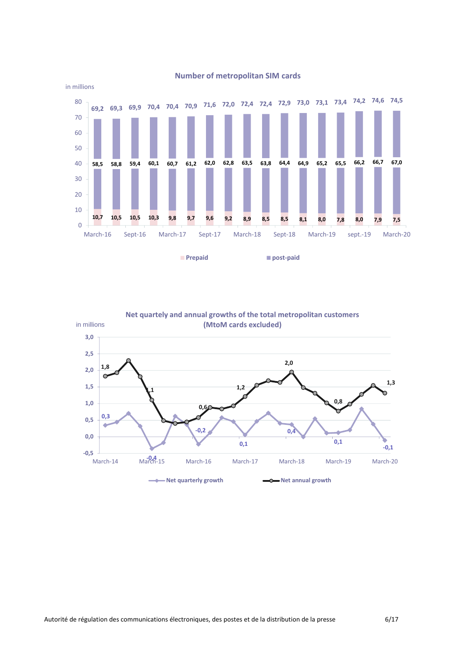

#### **Number of metropolitan SIM cards**

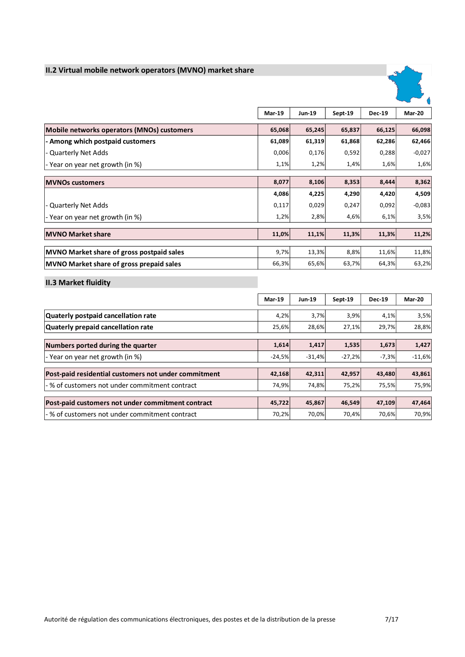## **II.2 Virtual mobile network operators (MVNO) market share**



|                                                  | <b>Mar-19</b> | <b>Jun-19</b> | Sept-19 | <b>Dec-19</b> | Mar-20   |
|--------------------------------------------------|---------------|---------------|---------|---------------|----------|
| Mobile networks operators (MNOs) customers       | 65,068        | 65,245        | 65,837  | 66,125        | 66,098   |
| - Among which postpaid customers                 | 61,089        | 61,319        | 61,868  | 62,286        | 62,466   |
| - Quarterly Net Adds                             | 0,006         | 0,176         | 0,592   | 0,288         | $-0,027$ |
| - Year on year net growth (in %)                 | 1,1%          | 1,2%          | 1,4%    | 1,6%          | 1,6%     |
|                                                  |               |               |         |               |          |
| <b>MVNOs customers</b>                           | 8,077         | 8,106         | 8,353   | 8,444         | 8,362    |
|                                                  | 4,086         | 4,225         | 4,290   | 4,420         | 4,509    |
| - Quarterly Net Adds                             | 0,117         | 0,029         | 0,247   | 0,092         | $-0,083$ |
| - Year on year net growth (in %)                 | 1,2%          | 2,8%          | 4,6%    | 6,1%          | 3,5%     |
|                                                  |               |               |         |               |          |
| <b>MVNO Market share</b>                         | 11,0%         | 11,1%         | 11,3%   | 11,3%         | 11,2%    |
|                                                  |               |               |         |               |          |
| <b>MVNO Market share of gross postpaid sales</b> | 9,7%          | 13,3%         | 8,8%    | 11,6%         | 11,8%    |
| MVNO Market share of gross prepaid sales         | 66,3%         | 65,6%         | 63,7%   | 64,3%         | 63,2%    |

**II.3 Market fluidity** 

|                                                      | <b>Mar-19</b> | <b>Jun-19</b> | Sept-19  | <b>Dec-19</b> | Mar-20   |
|------------------------------------------------------|---------------|---------------|----------|---------------|----------|
| Quaterly postpaid cancellation rate                  | 4,2%          | 3,7%          | 3,9%     | 4,1%          | 3,5%     |
| Quaterly prepaid cancellation rate                   | 25,6%         | 28,6%         | 27,1%    | 29,7%         | 28,8%    |
| Numbers ported during the quarter                    | 1,614         | 1,417         | 1,535    | 1,673         | 1,427    |
| - Year on year net growth (in %)                     | $-24,5%$      | $-31,4%$      | $-27,2%$ | $-7,3%$       | $-11,6%$ |
| Post-paid residential customers not under commitment | 42,168        | 42,311        | 42,957   | 43,480        | 43,861   |
| -% of customers not under commitment contract        | 74,9%         | 74,8%         | 75,2%    | 75,5%         | 75,9%    |
| Post-paid customers not under commitment contract    | 45,722        | 45,867        | 46,549   | 47,109        | 47,464   |
| -% of customers not under commitment contract        | 70,2%         | 70,0%         | 70,4%    | 70,6%         | 70,9%    |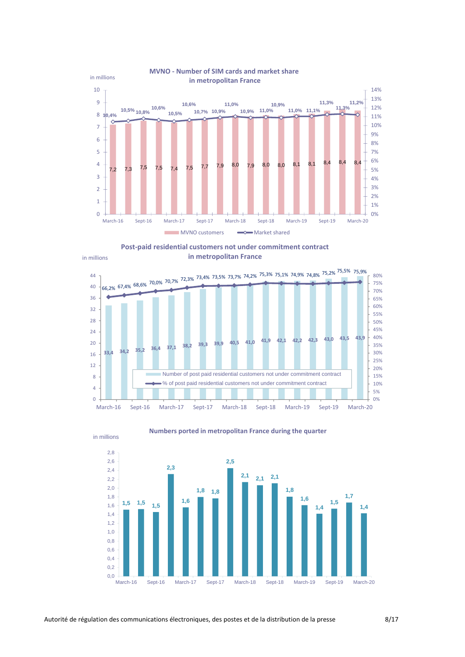

#### **MVNO - Number of SIM cards and market share in metropolitan France**

in millions







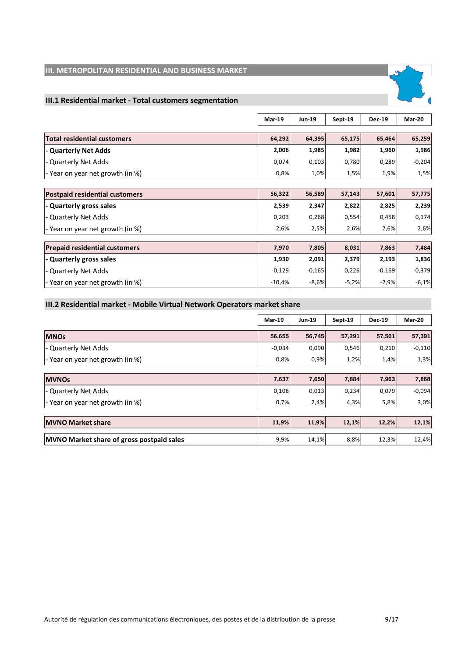## **III. METROPOLITAN RESIDENTIAL AND BUSINESS MARKET**

## **III.1 Residential market - Total customers segmentation**

|                                       | <b>Mar-19</b> | <b>Jun-19</b> | Sept-19 | <b>Dec-19</b> | Mar-20   |
|---------------------------------------|---------------|---------------|---------|---------------|----------|
|                                       |               |               |         |               |          |
| <b>Total residential customers</b>    | 64,292        | 64,395        | 65,175  | 65,464        | 65,259   |
| - Quarterly Net Adds                  | 2,006         | 1,985         | 1,982   | 1,960         | 1,986    |
| - Quarterly Net Adds                  | 0,074         | 0,103         | 0,780   | 0,289         | $-0,204$ |
| - Year on year net growth (in %)      | 0,8%          | 1,0%          | 1,5%    | 1,9%          | 1,5%     |
|                                       |               |               |         |               |          |
| <b>Postpaid residential customers</b> | 56,322        | 56,589        | 57,143  | 57,601        | 57,775   |
| - Quarterly gross sales               | 2,539         | 2,347         | 2,822   | 2,825         | 2,239    |
| - Quarterly Net Adds                  | 0,203         | 0,268         | 0,554   | 0,458         | 0,174    |
| - Year on year net growth (in %)      | 2,6%          | 2,5%          | 2,6%    | 2,6%          | 2,6%     |
|                                       |               |               |         |               |          |
| <b>Prepaid residential customers</b>  | 7,970         | 7,805         | 8,031   | 7,863         | 7,484    |
| - Quarterly gross sales               | 1,930         | 2,091         | 2,379   | 2,193         | 1,836    |
| - Quarterly Net Adds                  | $-0,129$      | $-0,165$      | 0,226   | $-0,169$      | $-0,379$ |
| - Year on year net growth (in %)      | $-10,4%$      | $-8,6%$       | $-5,2%$ | $-2,9%$       | $-6,1%$  |

#### **III.2 Residential market - Mobile Virtual Network Operators market share**

|                                           | Mar-19   | <b>Jun-19</b> | Sept-19 | <b>Dec-19</b> | Mar-20   |
|-------------------------------------------|----------|---------------|---------|---------------|----------|
| <b>MNOs</b>                               | 56,655   | 56,745        | 57,291  | 57,501        | 57,391   |
| - Quarterly Net Adds                      | $-0,034$ | 0,090         | 0,546   | 0,210         | $-0,110$ |
| - Year on year net growth (in %)          | 0,8%     | 0,9%          | 1,2%    | 1,4%          | 1,3%     |
|                                           |          |               |         |               |          |
| <b>MVNOs</b>                              | 7,637    | 7,650         | 7,884   | 7,963         | 7,868    |
| - Quarterly Net Adds                      | 0,108    | 0,013         | 0,234   | 0,079         | $-0,094$ |
| - Year on year net growth (in %)          | 0,7%     | 2,4%          | 4,3%    | 5,8%          | 3,0%     |
|                                           |          |               |         |               |          |
| <b>MVNO Market share</b>                  | 11,9%    | 11,9%         | 12,1%   | 12,2%         | 12,1%    |
| MVNO Market share of gross postpaid sales | 9,9%     | 14,1%         | 8,8%    | 12,3%         | 12,4%    |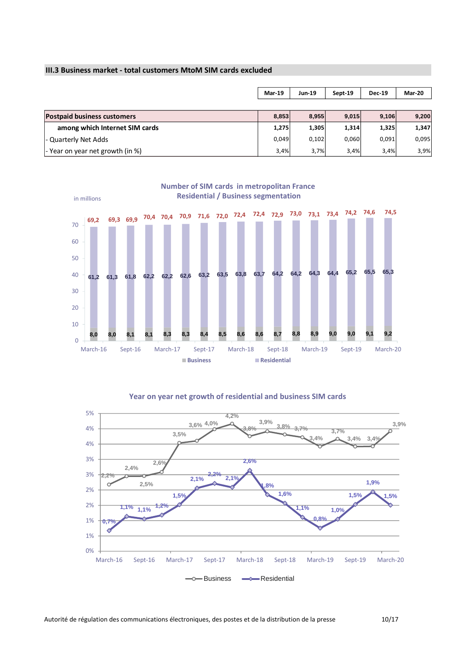#### **III.3 Business market - total customers MtoM SIM cards excluded**

|                                          | Mar-19 | <b>Jun-19</b> | Sept-19 | <b>Dec-19</b> | Mar-20 |
|------------------------------------------|--------|---------------|---------|---------------|--------|
|                                          |        |               |         |               |        |
| <b>Postpaid business customers</b>       | 8.853  | 8,955         | 9,015   | 9,106         | 9,200  |
| among which Internet SIM cards           | 1,275  | 1,305         | 1,314   | 1,325         | 1,347  |
| - Quarterly Net Adds                     | 0,049  | 0,102         | 0,060   | 0,091         | 0,095  |
| $\vert$ - Year on year net growth (in %) | 3,4%   | 3,7%          | 3,4%    | 3,4%          | 3,9%   |



**Number of SIM cards in metropolitan France** 



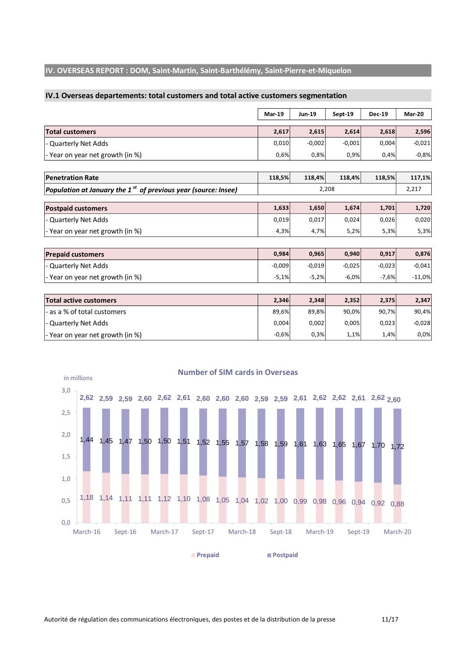#### **IV. OVERSEAS REPORT : DOM, Saint-Martin, Saint-Barthélémy, Saint-Pierre-et-Miquelon**

#### **IV.1 Overseas departements: total customers and total active customers segmentation**

|                                                                            | <b>Mar-19</b> | <b>Jun-19</b> | Sept-19  | <b>Dec-19</b> | <b>Mar-20</b> |
|----------------------------------------------------------------------------|---------------|---------------|----------|---------------|---------------|
| <b>Total customers</b>                                                     | 2,617         | 2,615         | 2,614    | 2,618         | 2,596         |
| Quarterly Net Adds                                                         | 0,010         | $-0,002$      | $-0,001$ | 0,004         | $-0,021$      |
| - Year on year net growth (in %)                                           | 0,6%          | 0,8%          | 0,9%     | 0,4%          | $-0,8%$       |
| <b>Penetration Rate</b>                                                    | 118,5%        | 118,4%        | 118,4%   | 118,5%        | 117,1%        |
| Population at January the 1 <sup>st</sup> of previous year (source: Insee) |               |               | 2,208    |               | 2,217         |
| <b>Postpaid customers</b>                                                  | 1,633         | 1,650         | 1,674    | 1,701         | 1,720         |
| <b>Quarterly Net Adds</b>                                                  | 0,019         | 0,017         | 0,024    | 0,026         | 0,020         |
| - Year on year net growth (in %)                                           | 4,3%          | 4,7%          | 5,2%     | 5,3%          | 5,3%          |
|                                                                            |               |               |          |               |               |
| <b>Prepaid customers</b>                                                   | 0,984         | 0,965         | 0,940    | 0,917         | 0,876         |
| <b>Quarterly Net Adds</b>                                                  | $-0,009$      | $-0,019$      | $-0,025$ | $-0,023$      | $-0,041$      |
| - Year on year net growth (in %)                                           | $-5,1%$       | $-5,2%$       | $-6,0%$  | $-7,6%$       | $-11,0%$      |
|                                                                            |               |               |          |               |               |
| <b>Total active customers</b>                                              | 2,346         | 2,348         | 2,352    | 2,375         | 2,347         |
| as a % of total customers                                                  | 89,6%         | 89,8%         | 90,0%    | 90,7%         | 90,4%         |
| <b>Quarterly Net Adds</b>                                                  | 0,004         | 0,002         | 0,005    | 0,023         | $-0,028$      |
| - Year on year net growth (in %)                                           | $-0,6%$       | 0,3%          | 1,1%     | 1,4%          | 0,0%          |
| <b>Number of SIM cards in Overseas</b>                                     |               |               |          |               |               |
| in millions                                                                |               |               |          |               |               |
| 3,0<br>$\overline{1}$ .                                                    |               |               |          |               |               |

![](_page_10_Figure_3.jpeg)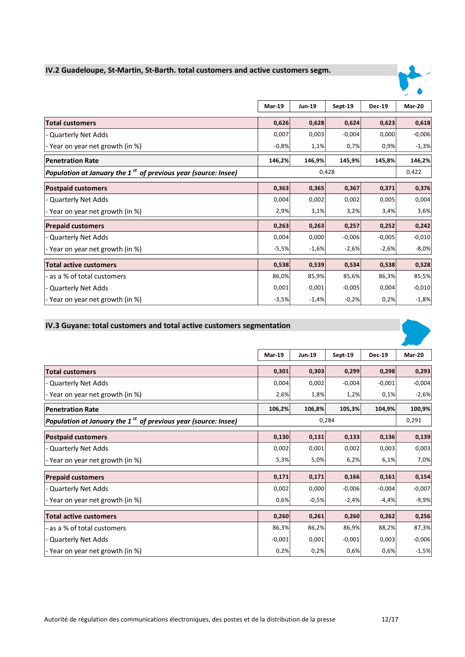## **IV.2 Guadeloupe, St-Martin, St-Barth. total customers and active customers segm.**

![](_page_11_Picture_1.jpeg)

|                                                                  | Mar-19  | <b>Jun-19</b> | Sept-19  | <b>Dec-19</b> | Mar-20   |
|------------------------------------------------------------------|---------|---------------|----------|---------------|----------|
| <b>Total customers</b>                                           | 0,626   | 0,628         | 0,624    | 0,623         | 0,618    |
| - Quarterly Net Adds                                             | 0,007   | 0,003         | $-0,004$ | 0,000         | $-0,006$ |
| - Year on year net growth (in %)                                 | $-0,8%$ | 1,1%          | 0,7%     | 0,9%          | $-1,3%$  |
| <b>Penetration Rate</b>                                          | 146,2%  | 146,9%        | 145,9%   | 145,8%        | 146,2%   |
| Population at January the $1st$ of previous year (source: Insee) |         |               | 0,428    |               | 0,422    |
| <b>Postpaid customers</b>                                        | 0,363   | 0,365         | 0,367    | 0,371         | 0,376    |
| - Quarterly Net Adds                                             | 0,004   | 0,002         | 0,002    | 0,005         | 0,004    |
| - Year on year net growth (in %)                                 | 2,9%    | 3,1%          | 3,2%     | 3,4%          | 3,6%     |
| <b>Prepaid customers</b>                                         | 0,263   | 0,263         | 0,257    | 0,252         | 0,242    |
| - Quarterly Net Adds                                             | 0,004   | 0,000         | $-0,006$ | $-0,005$      | $-0,010$ |
| - Year on year net growth (in %)                                 | $-5,5%$ | $-1,6%$       | $-2,6%$  | $-2,6%$       | $-8,0%$  |
| <b>Total active customers</b>                                    | 0,538   | 0,539         | 0,534    | 0,538         | 0,528    |
| - as a % of total customers                                      | 86,0%   | 85,9%         | 85,6%    | 86,3%         | 85,5%    |
| - Quarterly Net Adds                                             | 0,001   | 0,001         | $-0,005$ | 0,004         | $-0,010$ |
| - Year on year net growth (in %)                                 | $-3,5%$ | $-1,4%$       | $-0,2%$  | 0,2%          | $-1,8%$  |

#### **IV.3 Guyane: total customers and total active customers segmentation**

![](_page_11_Picture_4.jpeg)

|                                                                          | <b>Mar-19</b> | <b>Jun-19</b> | Sept-19  | <b>Dec-19</b> | Mar-20   |
|--------------------------------------------------------------------------|---------------|---------------|----------|---------------|----------|
| <b>Total customers</b>                                                   | 0,301         | 0,303         | 0,299    | 0,298         | 0,293    |
| - Quarterly Net Adds                                                     | 0,004         | 0,002         | $-0,004$ | $-0,001$      | $-0,004$ |
| - Year on year net growth (in %)                                         | 2,6%          | 1,8%          | 1,2%     | 0,1%          | $-2,6%$  |
| <b>Penetration Rate</b>                                                  | 106,2%        | 106,8%        | 105,3%   | 104,9%        | 100,9%   |
| Population at January the 1 $^{\rm st}$ of previous year (source: Insee) |               |               | 0,284    |               | 0,291    |
| <b>Postpaid customers</b>                                                | 0,130         | 0,131         | 0,133    | 0,136         | 0,139    |
| - Quarterly Net Adds                                                     | 0,002         | 0,001         | 0,002    | 0,003         | 0,003    |
| - Year on year net growth (in %)                                         | 5,3%          | 5,0%          | 6,2%     | 6,1%          | 7,0%     |
| <b>Prepaid customers</b>                                                 | 0,171         | 0,171         | 0,166    | 0,161         | 0,154    |
| - Quarterly Net Adds                                                     | 0,002         | 0,000         | $-0,006$ | $-0,004$      | $-0,007$ |
| - Year on year net growth (in %)                                         | 0,6%          | $-0,5%$       | $-2,4%$  | $-4,4%$       | $-9,9%$  |
| <b>Total active customers</b>                                            | 0,260         | 0,261         | 0,260    | 0,262         | 0,256    |
| - as a % of total customers                                              | 86,3%         | 86,2%         | 86,9%    | 88,2%         | 87,3%    |
| - Quarterly Net Adds                                                     | $-0,001$      | 0,001         | $-0,001$ | 0,003         | $-0,006$ |
| - Year on year net growth (in %)                                         | 0,2%          | 0,2%          | 0,6%     | 0,6%          | $-1,5%$  |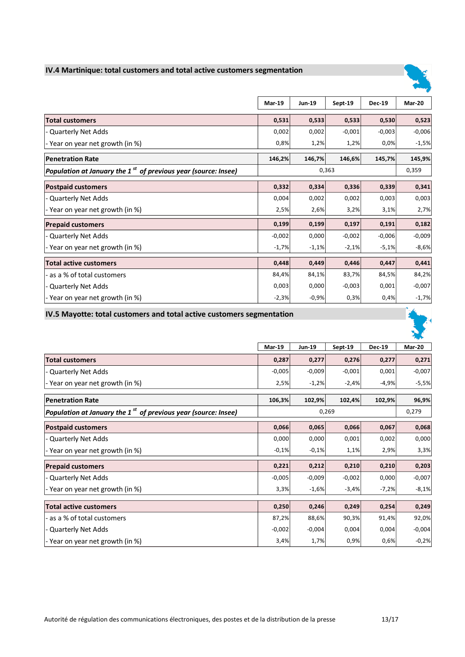#### **IV.4 Martinique: total customers and total active customers segmentation**

![](_page_12_Picture_1.jpeg)

|                                                                          | <b>Mar-19</b> | <b>Jun-19</b> | Sept-19  | <b>Dec-19</b> | Mar-20   |
|--------------------------------------------------------------------------|---------------|---------------|----------|---------------|----------|
| <b>Total customers</b>                                                   | 0,531         | 0,533         | 0,533    | 0,530         | 0,523    |
| - Quarterly Net Adds                                                     | 0,002         | 0,002         | $-0,001$ | $-0,003$      | $-0,006$ |
| - Year on year net growth (in %)                                         | 0,8%          | 1,2%          | 1,2%     | 0,0%          | $-1,5%$  |
| <b>Penetration Rate</b>                                                  | 146,2%        | 146,7%        | 146,6%   | 145,7%        | 145,9%   |
| Population at January the 1 $^{\rm st}$ of previous year (source: Insee) |               |               | 0,363    |               | 0,359    |
| <b>Postpaid customers</b>                                                | 0,332         | 0,334         | 0,336    | 0,339         | 0,341    |
| - Quarterly Net Adds                                                     | 0,004         | 0,002         | 0,002    | 0,003         | 0,003    |
| - Year on year net growth (in %)                                         | 2,5%          | 2,6%          | 3,2%     | 3,1%          | 2,7%     |
| <b>Prepaid customers</b>                                                 | 0,199         | 0,199         | 0,197    | 0,191         | 0,182    |
| - Quarterly Net Adds                                                     | $-0,002$      | 0,000         | $-0,002$ | $-0,006$      | $-0,009$ |
| - Year on year net growth (in %)                                         | $-1,7%$       | $-1,1%$       | $-2,1%$  | $-5,1%$       | $-8,6%$  |
| <b>Total active customers</b>                                            | 0,448         | 0,449         | 0,446    | 0,447         | 0,441    |
| - as a % of total customers                                              | 84,4%         | 84,1%         | 83,7%    | 84,5%         | 84,2%    |
| - Quarterly Net Adds                                                     | 0,003         | 0,000         | $-0,003$ | 0,001         | $-0,007$ |
| - Year on year net growth (in %)                                         | $-2,3%$       | $-0,9%$       | 0,3%     | 0,4%          | $-1,7%$  |

#### **IV.5 Mayotte: total customers and total active customers segmentation**

![](_page_12_Picture_4.jpeg)

|                                                                      | <b>Mar-19</b> | Jun-19   | Sept-19  | <b>Dec-19</b> | Mar-20   |
|----------------------------------------------------------------------|---------------|----------|----------|---------------|----------|
| <b>Total customers</b>                                               | 0,287         | 0,277    | 0,276    | 0,277         | 0,271    |
| - Quarterly Net Adds                                                 | $-0,005$      | $-0,009$ | $-0,001$ | 0,001         | $-0,007$ |
| - Year on year net growth (in %)                                     | 2,5%          | $-1,2%$  | $-2,4%$  | $-4,9%$       | $-5,5%$  |
| <b>Penetration Rate</b>                                              | 106,3%        | 102,9%   | 102,4%   | 102,9%        | 96,9%    |
| Population at January the 1 $^{st}$ of previous year (source: Insee) | 0,269         |          |          |               | 0,279    |
| <b>Postpaid customers</b>                                            | 0,066         | 0,065    | 0,066    | 0,067         | 0,068    |
| - Quarterly Net Adds                                                 | 0,000         | 0,000    | 0,001    | 0,002         | 0,000    |
| - Year on year net growth (in %)                                     | $-0,1%$       | $-0,1%$  | 1,1%     | 2,9%          | 3,3%     |
| <b>Prepaid customers</b>                                             | 0,221         | 0,212    | 0,210    | 0,210         | 0,203    |
| - Quarterly Net Adds                                                 | $-0,005$      | $-0,009$ | $-0,002$ | 0,000         | $-0,007$ |
| - Year on year net growth (in %)                                     | 3,3%          | $-1,6%$  | $-3,4%$  | $-7,2%$       | $-8,1%$  |
| <b>Total active customers</b>                                        | 0,250         | 0,246    | 0,249    | 0,254         | 0,249    |
| - as a % of total customers                                          | 87,2%         | 88,6%    | 90,3%    | 91,4%         | 92,0%    |
| - Quarterly Net Adds                                                 | $-0,002$      | $-0,004$ | 0,004    | 0,004         | $-0,004$ |
| - Year on year net growth (in %)                                     | 3,4%          | 1,7%     | 0,9%     | 0,6%          | $-0,2%$  |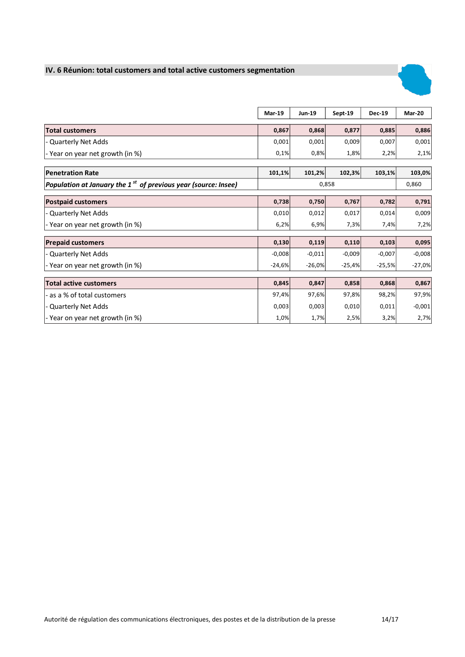## **IV. 6 Réunion: total customers and total active customers segmentation**

![](_page_13_Picture_1.jpeg)

|                                                                    | Mar-19   | <b>Jun-19</b> | Sept-19  | <b>Dec-19</b> | <b>Mar-20</b> |
|--------------------------------------------------------------------|----------|---------------|----------|---------------|---------------|
| <b>Total customers</b>                                             | 0,867    | 0,868         | 0,877    | 0,885         | 0,886         |
| - Quarterly Net Adds                                               | 0,001    | 0,001         | 0,009    | 0,007         | 0,001         |
| - Year on year net growth (in %)                                   | 0,1%     | 0,8%          | 1,8%     | 2,2%          | 2,1%          |
| <b>Penetration Rate</b>                                            | 101,1%   | 101,2%        | 102,3%   | 103,1%        | 103,0%        |
| Population at January the 1 $sst$ of previous year (source: Insee) |          | 0,858         |          |               |               |
| <b>Postpaid customers</b>                                          | 0,738    | 0,750         | 0,767    | 0,782         | 0,791         |
| - Quarterly Net Adds                                               | 0,010    | 0,012         | 0,017    | 0,014         | 0,009         |
| - Year on year net growth (in %)                                   | 6,2%     | 6,9%          | 7,3%     | 7,4%          | 7,2%          |
| <b>Prepaid customers</b>                                           | 0,130    | 0,119         | 0,110    | 0,103         | 0,095         |
| - Quarterly Net Adds                                               | $-0,008$ | $-0,011$      | $-0,009$ | $-0,007$      | $-0,008$      |
| - Year on year net growth (in %)                                   | $-24,6%$ | $-26,0%$      | $-25,4%$ | $-25,5%$      | $-27,0%$      |
| <b>Total active customers</b>                                      | 0,845    | 0,847         | 0,858    | 0,868         | 0,867         |
| - as a % of total customers                                        | 97,4%    | 97,6%         | 97,8%    | 98,2%         | 97,9%         |
| - Quarterly Net Adds                                               | 0,003    | 0,003         | 0,010    | 0,011         | $-0,001$      |
| - Year on year net growth (in %)                                   | 1,0%     | 1,7%          | 2,5%     | 3,2%          | 2,7%          |

r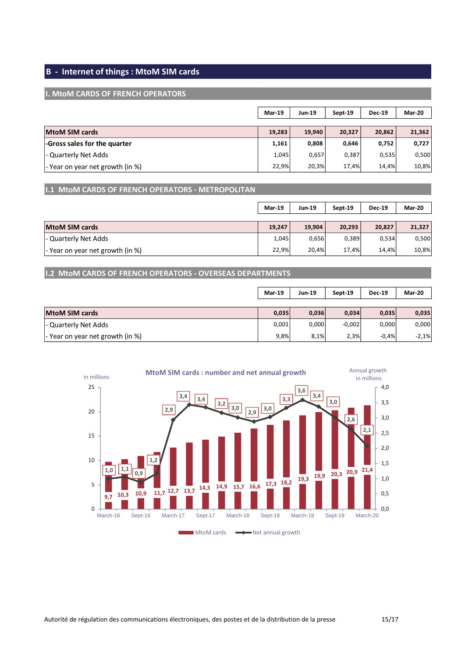## **B - Internet of things : MtoM SIM cards**

#### **I. MtoM CARDS OF FRENCH OPERATORS**

|                                  | Mar-19 | <b>Jun-19</b> | Sept-19 | <b>Dec-19</b> | Mar-20 |
|----------------------------------|--------|---------------|---------|---------------|--------|
| <b>MtoM SIM cards</b>            | 19,283 | 19,940        | 20,327  | 20,862        | 21,362 |
| -Gross sales for the quarter     | 1,161  | 0,808         | 0,646   | 0,752         | 0,727  |
| - Quarterly Net Adds             | 1,045  | 0,657         | 0,387   | 0,535         | 0,500  |
| - Year on year net growth (in %) | 22,9%  | 20,3%         | 17,4%   | 14,4%         | 10,8%  |

**I.1 MtoM CARDS OF FRENCH OPERATORS - METROPOLITAN** 

|                                  | <b>Mar-19</b> | <b>Jun-19</b> | Sept-19 | <b>Dec-19</b> | Mar-20 |
|----------------------------------|---------------|---------------|---------|---------------|--------|
| <b>MtoM SIM cards</b>            | 19,247        | 19,904        | 20,293  | 20,827        | 21,327 |
| - Quarterly Net Adds             | 1,045         | 0,656         | 0,389   | 0,534         | 0,500  |
| - Year on year net growth (in %) | 22,9%         | 20,4%         | 17,4%   | 14,4%         | 10,8%  |

**I.2 MtoM CARDS OF FRENCH OPERATORS - OVERSEAS DEPARTMENTS**

|                                  | Mar-19 | <b>Jun-19</b> | Sept-19  | <b>Dec-19</b> | Mar-20  |
|----------------------------------|--------|---------------|----------|---------------|---------|
|                                  |        |               |          |               |         |
| <b>MtoM SIM cards</b>            | 0,035  | 0,036         | 0,034    | 0,035         | 0,035   |
| - Quarterly Net Adds             | 0,001  | 0,000         | $-0,002$ | 0,000         | 0,000   |
| - Year on year net growth (in %) | 9,8%   | 8,1%          | 2,3%     | $-0.4%$       | $-2,1%$ |

![](_page_14_Figure_7.jpeg)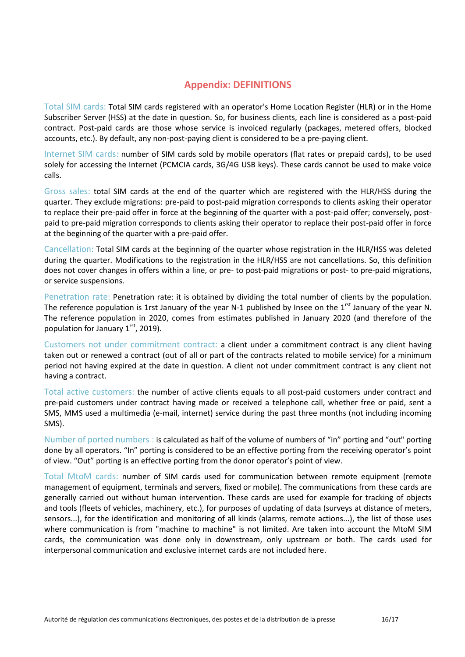## **Appendix: DEFINITIONS**

Total SIM cards: Total SIM cards registered with an operator's Home Location Register (HLR) or in the Home Subscriber Server (HSS) at the date in question. So, for business clients, each line is considered as a post-paid contract. Post-paid cards are those whose service is invoiced regularly (packages, metered offers, blocked accounts, etc.). By default, any non-post-paying client is considered to be a pre-paying client.

Internet SIM cards: number of SIM cards sold by mobile operators (flat rates or prepaid cards), to be used solely for accessing the Internet (PCMCIA cards, 3G/4G USB keys). These cards cannot be used to make voice calls.

Gross sales: total SIM cards at the end of the quarter which are registered with the HLR/HSS during the quarter. They exclude migrations: pre-paid to post-paid migration corresponds to clients asking their operator to replace their pre-paid offer in force at the beginning of the quarter with a post-paid offer; conversely, postpaid to pre-paid migration corresponds to clients asking their operator to replace their post-paid offer in force at the beginning of the quarter with a pre-paid offer.

Cancellation: Total SIM cards at the beginning of the quarter whose registration in the HLR/HSS was deleted during the quarter. Modifications to the registration in the HLR/HSS are not cancellations. So, this definition does not cover changes in offers within a line, or pre- to post-paid migrations or post- to pre-paid migrations, or service suspensions.

Penetration rate: Penetration rate: it is obtained by dividing the total number of clients by the population. The reference population is 1rst January of the year N-1 published by Insee on the 1<sup>rst</sup> January of the year N. The reference population in 2020, comes from estimates published in January 2020 (and therefore of the population for January 1<sup>rst</sup>, 2019).

Customers not under commitment contract: a client under a commitment contract is any client having taken out or renewed a contract (out of all or part of the contracts related to mobile service) for a minimum period not having expired at the date in question. A client not under commitment contract is any client not having a contract.

Total active customers: the number of active clients equals to all post-paid customers under contract and pre-paid customers under contract having made or received a telephone call, whether free or paid, sent a SMS, MMS used a multimedia (e-mail, internet) service during the past three months (not including incoming SMS).

Number of ported numbers : is calculated as half of the volume of numbers of "in" porting and "out" porting done by all operators. "In" porting is considered to be an effective porting from the receiving operator's point of view. "Out" porting is an effective porting from the donor operator's point of view.

Total MtoM cards: number of SIM cards used for communication between remote equipment (remote management of equipment, terminals and servers, fixed or mobile). The communications from these cards are generally carried out without human intervention. These cards are used for example for tracking of objects and tools (fleets of vehicles, machinery, etc.), for purposes of updating of data (surveys at distance of meters, sensors...), for the identification and monitoring of all kinds (alarms, remote actions...), the list of those uses where communication is from "machine to machine" is not limited. Are taken into account the MtoM SIM cards, the communication was done only in downstream, only upstream or both. The cards used for interpersonal communication and exclusive internet cards are not included here.